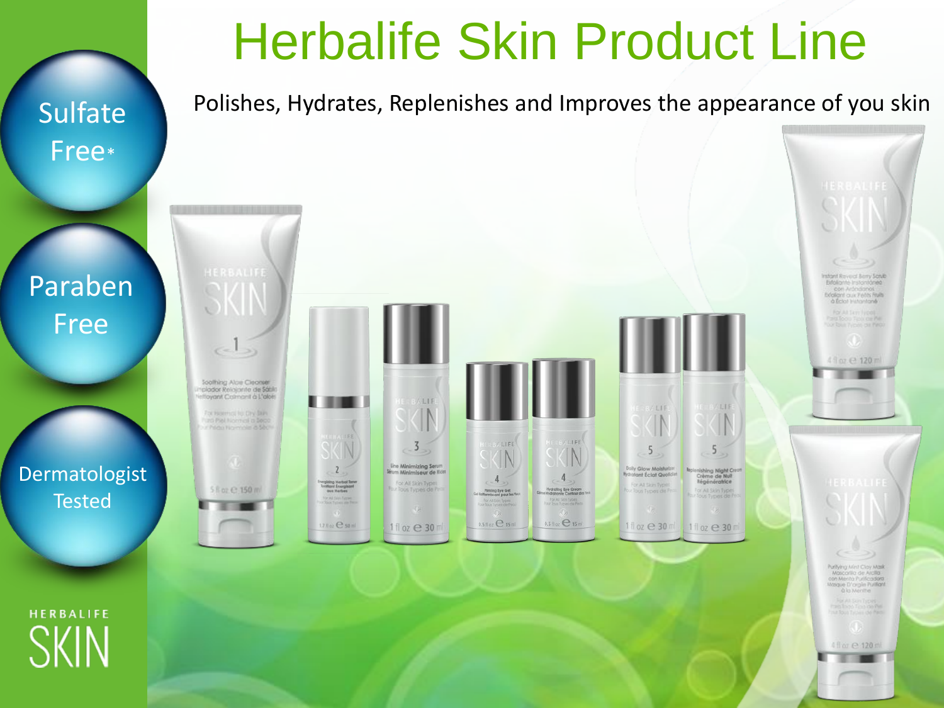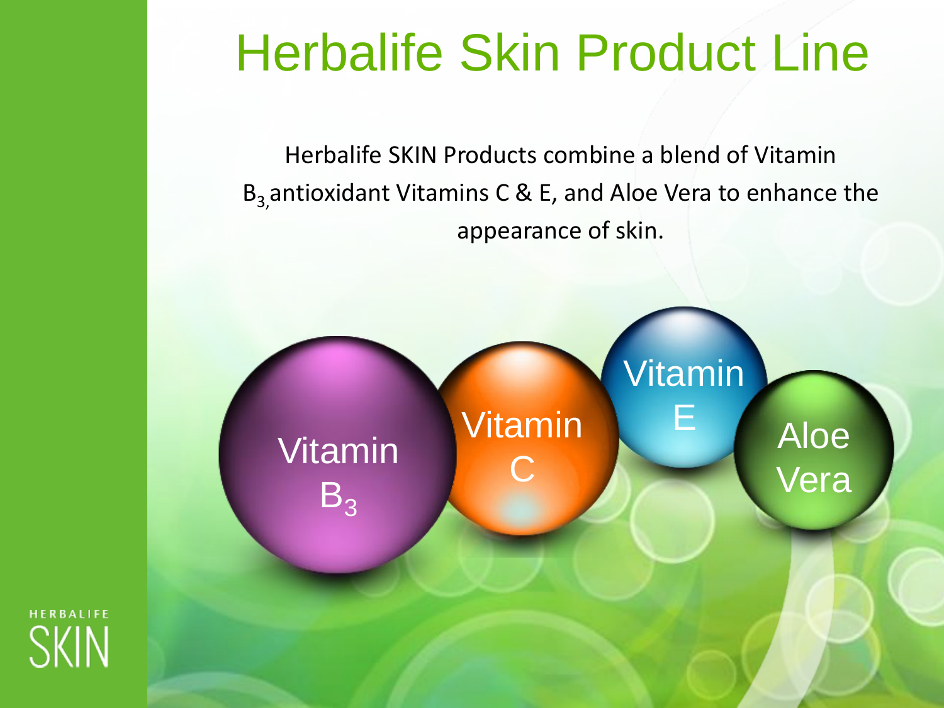## Herbalife Skin Product Line

Herbalife SKIN Products combine a blend of Vitamin  $B_3$  antioxidant Vitamins C & E, and Aloe Vera to enhance the appearance of skin.



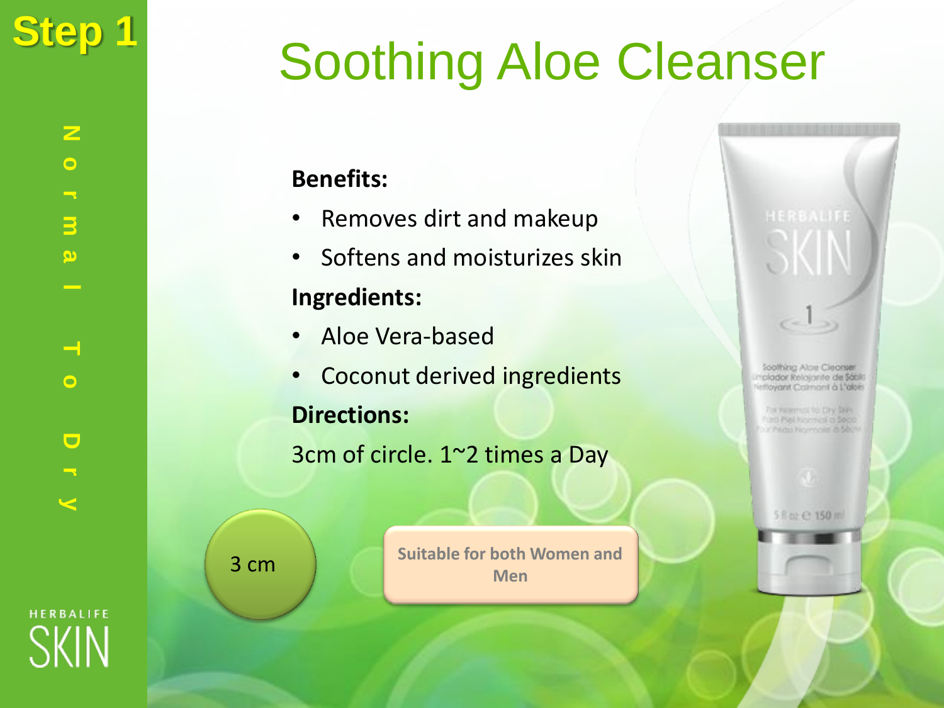# Step 1 **Soothing Aloe Cleanser**

## **Benefits:**

- Removes dirt and makeup
- Softens and moisturizes skin

## **Ingredients:**

- Aloe Vera-based
- Coconut derived ingredients

## **Directions:**

3cm of circle. 1~2 times a Day

**Suitable for both Women and Men**

**Soothing Aloe Cleanser** clador Relainnte de Sátilo elloyant Calmant à L'alois

For Helerica for DIV Stan Furth Piel Normoni a Seco / Prictio Figure view of Silvi

5 fl or £ 150 ml

3 cm

**N**

**o**

**r**

**m**

**a**

**l**

**T**

**o**

**D**

**r**

**y**

**HERBALIFE**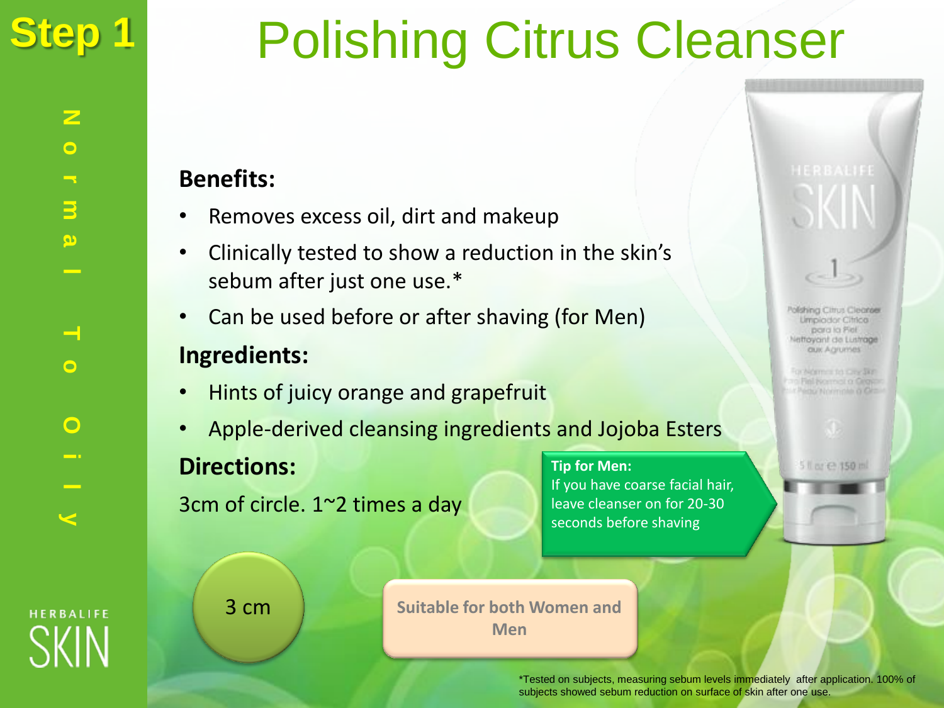

Polishing Citrus Cleanser

### **Benefits:**

- Removes excess oil, dirt and makeup
- Clinically tested to show a reduction in the skin's sebum after just one use.\*
- Can be used before or after shaving (for Men) **Ingredients:**
- Hints of juicy orange and grapefruit
- Apple-derived cleansing ingredients and Jojoba Esters

### **Directions:**

3cm of circle. 1~2 times a day

**Tip for Men:** If you have coarse facial hair, leave cleanser on for 20-30 seconds before shaving

Polishing Clinus Cleanser Umpiodor Citrica para la Fiel. ettoyant de Lustrage **aux** Agrumes

OF BACKTERING THE CONNECTED which home models as Card

5 li by 已 150 ml

**HERBALIFE** 

3 cm

**Suitable for both Women and Men**

> \*Tested on subjects, measuring sebum levels immediately after application. 100% of subjects showed sebum reduction on surface of skin after one use.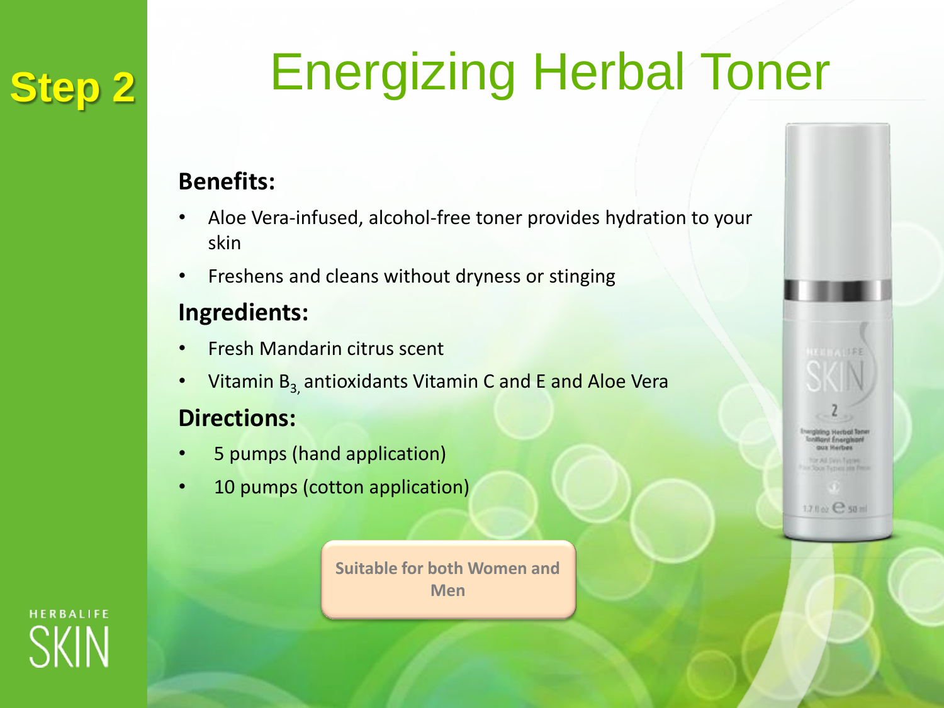## **Step 2**

# Energizing Herbal Toner

## **Benefits:**

- Aloe Vera-infused, alcohol-free toner provides hydration to your skin
- Freshens and cleans without dryness or stinging

## **Ingredients:**

- Fresh Mandarin citrus scent
- Vitamin  $B_3$  antioxidants Vitamin C and E and Aloe Vera

## **Directions:**

- 5 pumps (hand application)
- 10 pumps (cotton application)

**Suitable for both Women and Men**



17.1 or C so al

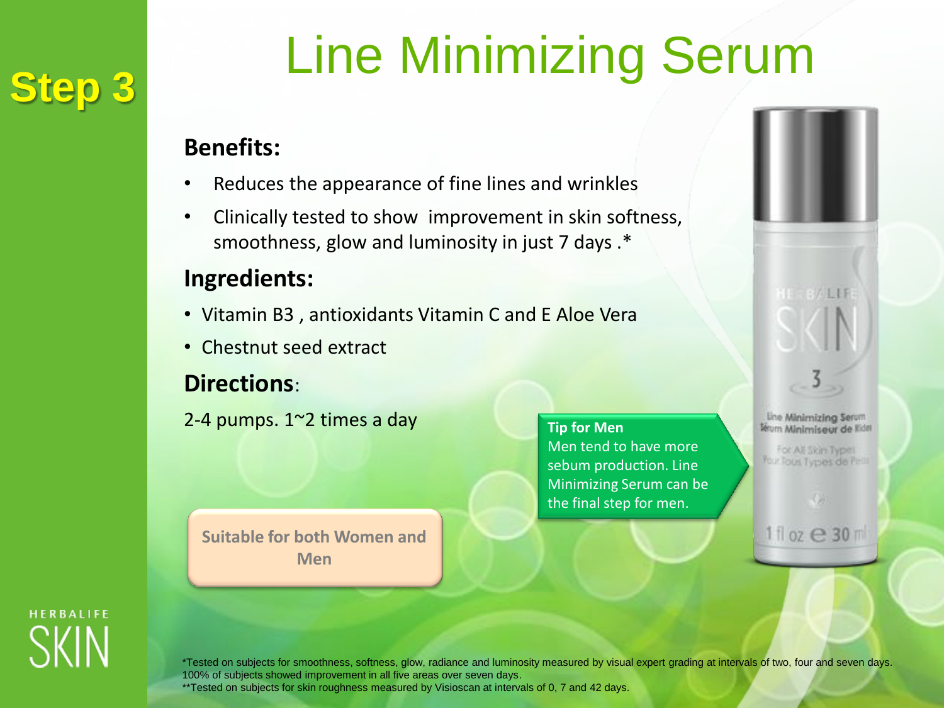## **Step 3**

# Line Minimizing Serum

### **Benefits:**

- Reduces the appearance of fine lines and wrinkles
- Clinically tested to show improvement in skin softness, smoothness, glow and luminosity in just 7 days .\*

## **Ingredients:**

- Vitamin B3 , antioxidants Vitamin C and E Aloe Vera
- Chestnut seed extract

## **Directions**:

2-4 pumps. 1~2 times a day

**Tip for Men** Men tend to have more sebum production. Line Minimizing Serum can be the final step for men.

**BALLE** line Minimizing Servm leum Minimiseur de Rida

For All Skin Typel **Your Tous Types de Pas** 

11 oz **e 30** m

**Suitable for both Women and Men**

**HERBALIFE** 

\*Tested on subjects for smoothness, softness, glow, radiance and luminosity measured by visual expert grading at intervals of two, four and seven days. 100% of subjects showed improvement in all five areas over seven days.

\*\*Tested on subjects for skin roughness measured by Visioscan at intervals of 0, 7 and 42 days.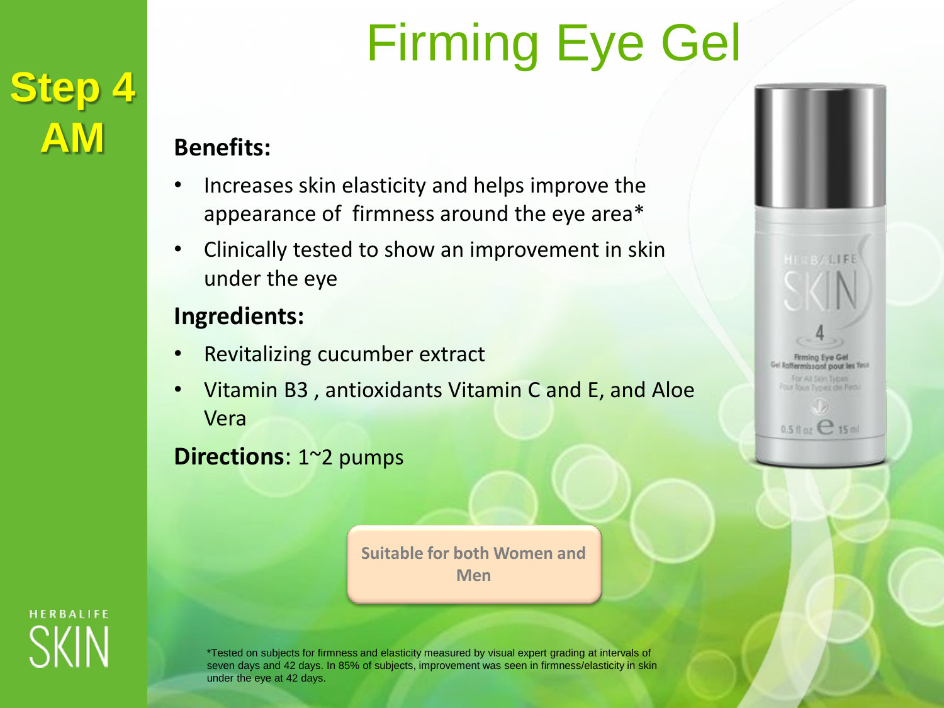# Firming Eye Gel

### **Benefits:**

- Increases skin elasticity and helps improve the appearance of firmness around the eye area\*
- Clinically tested to show an improvement in skin under the eye

### **Ingredients:**

- Revitalizing cucumber extract
- Vitamin B3 , antioxidants Vitamin C and E, and Aloe Vera

**Directions**: 1~2 pumps

**Suitable for both Women and Men**



**Step 4**

**AM**

\*Tested on subjects for firmness and elasticity measured by visual expert grading at intervals of seven days and 42 days. In 85% of subjects, improvement was seen in firmness/elasticity in skin under the eye at 42 days.

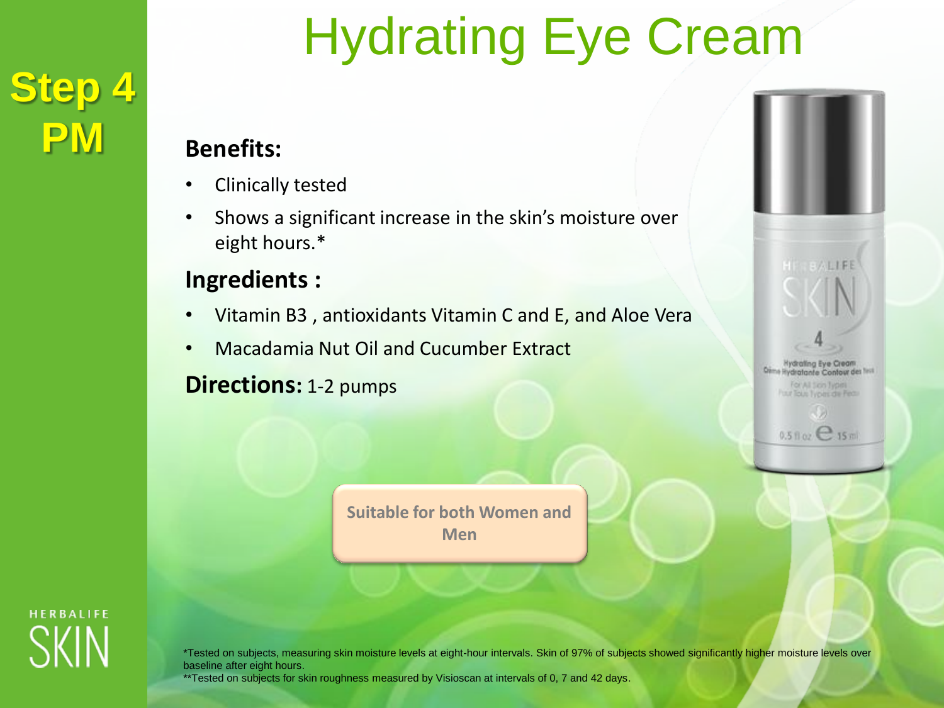## **Step 4 PM**

# Hydrating Eye Cream

## **Benefits:**

- Clinically tested
- Shows a significant increase in the skin's moisture over eight hours.\*

## **Ingredients :**

- Vitamin B3 , antioxidants Vitamin C and E, and Aloe Vera
- Macadamia Nut Oil and Cucumber Extract

## **Directions:** 1-2 pumps

**Suitable for both Women and Men**





\*Tested on subjects, measuring skin moisture levels at eight-hour intervals. Skin of 97% of subjects showed significantly higher moisture levels over baseline after eight hours.

\*\*Tested on subjects for skin roughness measured by Visioscan at intervals of 0, 7 and 42 days.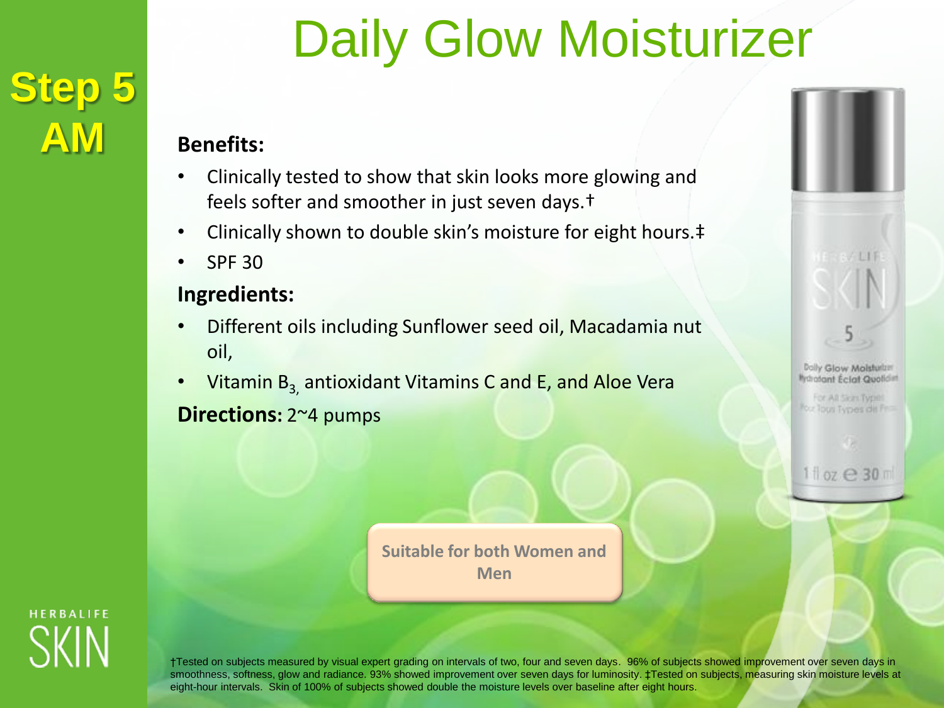## **Step 5 AM**

# Daily Glow Moisturizer

### **Benefits:**

- Clinically tested to show that skin looks more glowing and feels softer and smoother in just seven days.†
- Clinically shown to double skin's moisture for eight hours.‡
- SPF 30

### **Ingredients:**

- Different oils including Sunflower seed oil, Macadamia nut oil,
- Vitamin  $B_{3}$ , antioxidant Vitamins C and E, and Aloe Vera **Directions:** 2~4 pumps

**Suitable for both Women and Men**



Dolly Glow Molstutzer **Mondant Eclat Qualched** 

For All Siors Types out Tous Types dit Fr

11 oz e 30 m

**HERBALIFE** 

†Tested on subjects measured by visual expert grading on intervals of two, four and seven days. 96% of subjects showed improvement over seven days in smoothness, softness, glow and radiance. 93% showed improvement over seven days for luminosity. ‡Tested on subjects, measuring skin moisture levels at eight-hour intervals. Skin of 100% of subjects showed double the moisture levels over baseline after eight hours.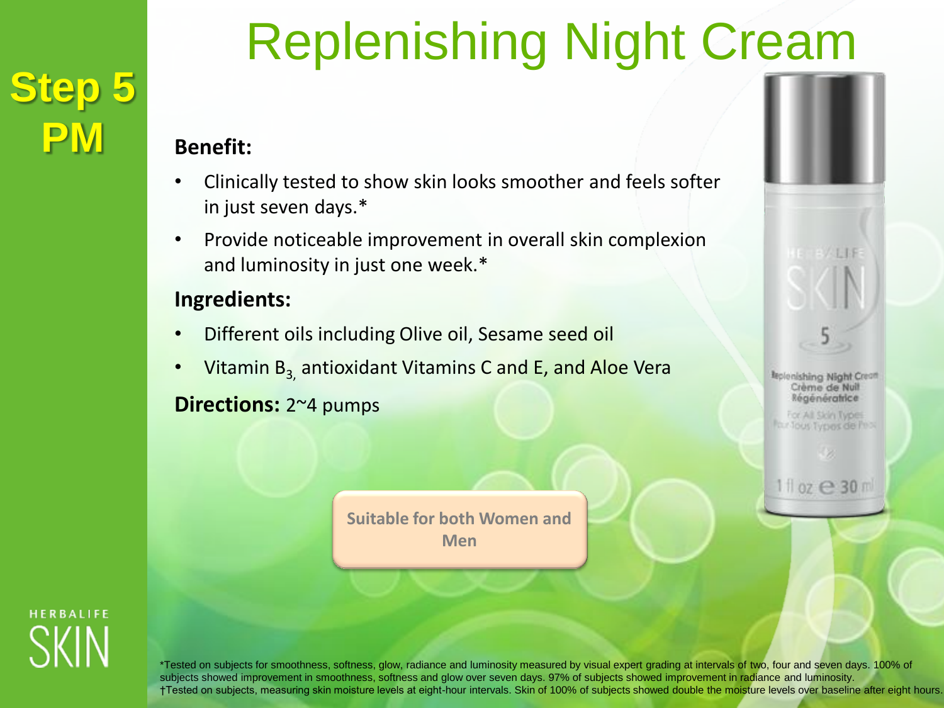## **Step 5 PM Benefit:**

# Replenishing Night Cream

## • Clinically tested to show skin looks smoother and feels softer

- in just seven days.\*
- Provide noticeable improvement in overall skin complexion and luminosity in just one week.\*

### **Ingredients:**

- Different oils including Olive oil, Sesame seed oil
- Vitamin  $B_3$  antioxidant Vitamins C and E, and Aloe Vera

### **Directions:** 2~4 pumps

**Suitable for both Women and Men**



**Replenishing Night Creatt** Crème de Nuit Régénératrice

For All Skin Types four Tous Types de Peop

1 1 oz **e 30** m

**HERBALIFE** 

\*Tested on subjects for smoothness, softness, glow, radiance and luminosity measured by visual expert grading at intervals of two, four and seven days. 100% of subjects showed improvement in smoothness, softness and glow over seven days. 97% of subjects showed improvement in radiance and luminosity. †Tested on subjects, measuring skin moisture levels at eight-hour intervals. Skin of 100% of subjects showed double the moisture levels over baseline after eight hours.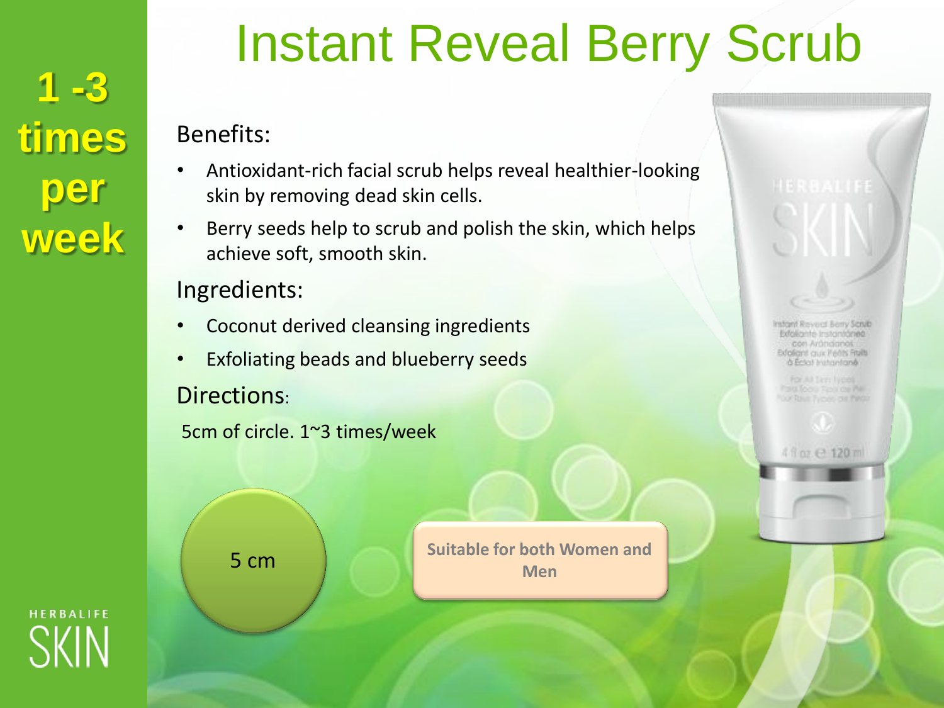**1 -3 times per week**

## Instant Reveal Berry Scrub

### Benefits:

- Antioxidant-rich facial scrub helps reveal healthier-looking skin by removing dead skin cells.
- Berry seeds help to scrub and polish the skin, which helps achieve soft, smooth skin.

## Ingredients:

- Coconut derived cleansing ingredients
- Exfoliating beads and blueberry seeds Directions:

```
5cm of circle. 1~3 times/week
```
**5 cm Suitable for both Women and Men**

rstant Reveal Berry Satub ancontroller included zon Arandranos vfoliant aux Felts Ruits à Eclo) Instantano

Of RIGHT Typons clie Pince

4 finz @ 120 ml

**HERBALIFE**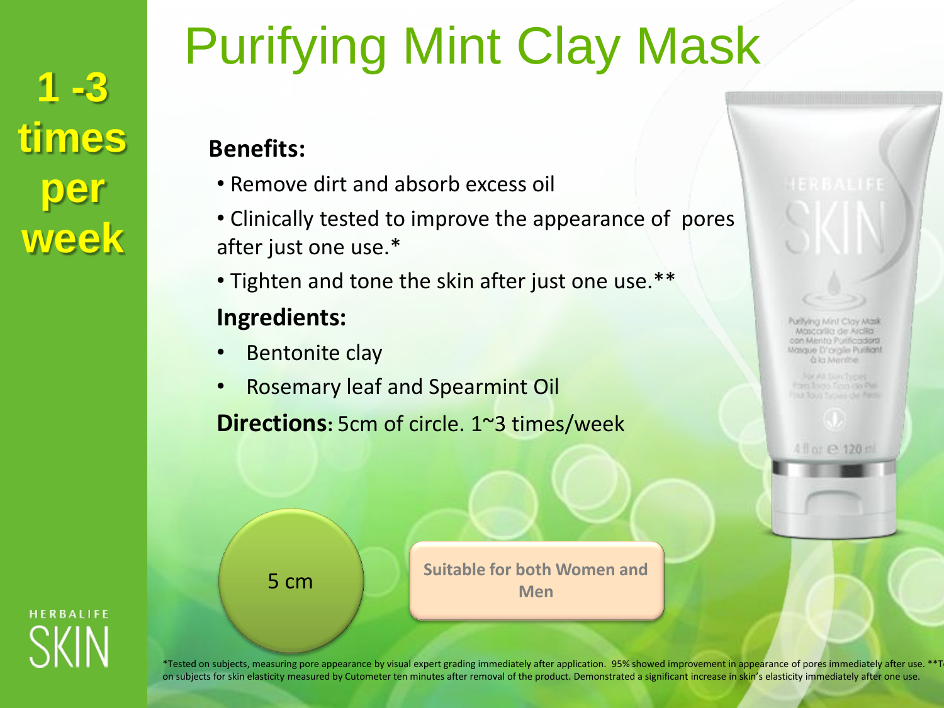**1 -3 times per week**

# Purifying Mint Clay Mask

## **Benefits:**

- Remove dirt and absorb excess oil
- Clinically tested to improve the appearance of pores after just one use.\*
- Tighten and tone the skin after just one use.\*\*

## **Ingredients:**

- Bentonite clay
- Rosemary leaf and Spearmint Oil

**Directions:** 5cm of circle. 1~3 times/week

Puritying Mint Clay Mark Mascarilla de Alcita con Mento Purificadora Masque D'orgile Putificati **Q** la Menitie

ran loco fino do Pelna Tous Tybes delifed.

4 li or e 120 m

**5 cm Suitable for both Women and Men**



\*Tested on subjects, measuring pore appearance by visual expert grading immediately after application. 95% showed improvement in appearance of pores immediately after use. \*\*T on subjects for skin elasticity measured by Cutometer ten minutes after removal of the product. Demonstrated a significant increase in skin's elasticity immediately after one use.